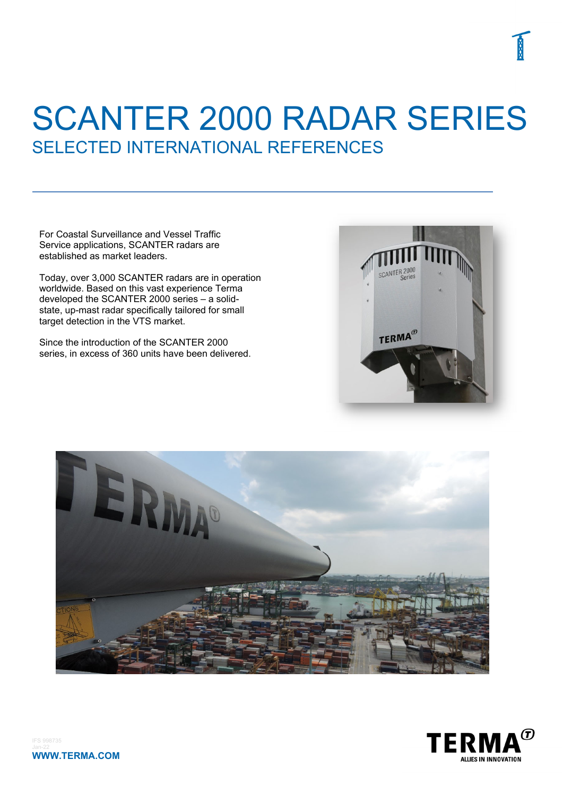For Coastal Surveillance and Vessel Traffic Service applications, SCANTER radars are established as market leaders.

Today, over 3,000 SCANTER radars are in operation worldwide. Based on this vast experience Terma developed the SCANTER 2000 series – a solidstate, up-mast radar specifically tailored for small target detection in the VTS market.

Since the introduction of the SCANTER 2000 series, in excess of 360 units have been delivered.